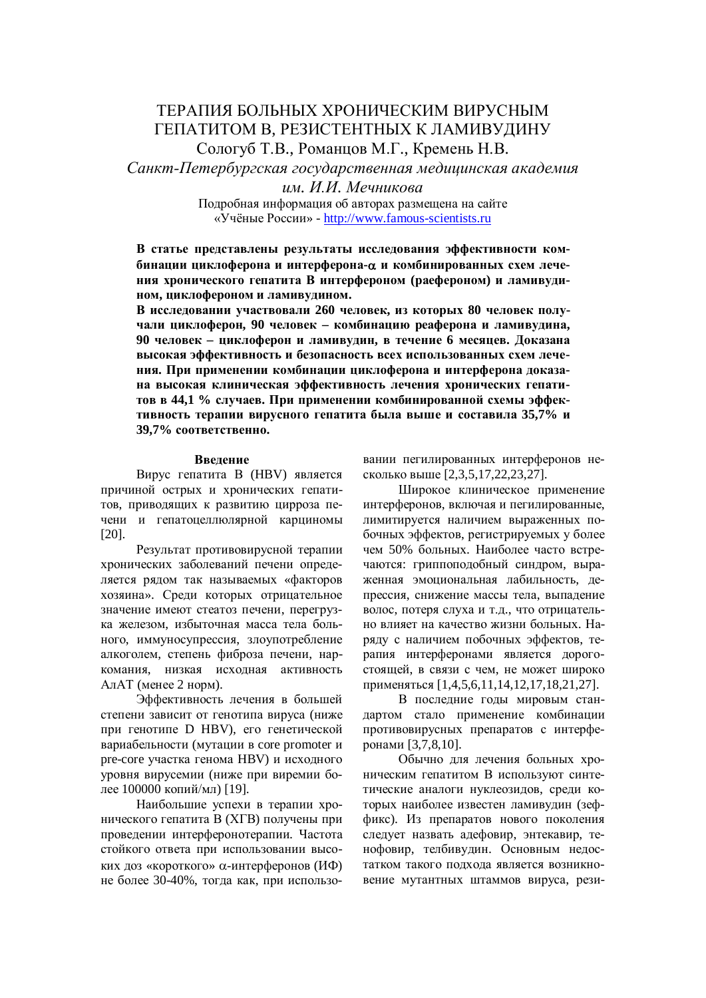# ТЕРАПИЯ БОЛЬНЫХ ХРОНИЧЕСКИМ ВИРУСНЫМ ГЕПАТИТОМ В, РЕЗИСТЕНТНЫХ К ЛАМИВУДИНУ Сологуб Т.В., Романцов М.Г., Кремень Н.В.

Санкт-Петербургская государственная медицинская академия

**им.** И.И. Мечникова

Подробная информация об авторах размещена на сайте «Учёные России» - http://www.famous-scientists.ru

В статье представлены результаты исследования эффективности ком- $\delta$ инации циклоферона и интерферона-α и комбинированных схем лече-**НИЯ ХРОНИЧЕСКОГО ГЕПАТИТА В ИНТЕРФЕРОНОМ (РАЕФЕРОНОМ) И ЛАМИВУДИном, циклофероном и ламивудином.** 

В исследовании участвовали 260 человек, из которых 80 человек получали циклоферон, 90 человек – комбинацию реаферона и ламивудина, 90 человек – циклоферон и ламивудин, в течение 6 месяцев. Доказана **ɜɵɫɨɤɚɹɷɮɮɟɤɬɢɜɧɨɫɬɶɢɛɟɡɨɩɚɫɧɨɫɬɶɜɫɟɯɢɫɩɨɥɶɡɨɜɚɧɧɵɯɫɯɟɦɥɟɱɟ**ния. При применении комбинации циклоферона и интерферона доказана высокая клиническая эффективность лечения хронических гепатитов в 44,1 % случаев. При применении комбинированной схемы эффективность терапии вирусного гепатита была выше и составила 35,7% и  $39.7\%$  соответственно.

# **Ввеление**

Вирус гепатита В (HBV) является причиной острых и хронических гепатитов, приводящих к развитию цирроза печени и гепатоцеллюлярной карциномы [20].

Результат противовирусной терапии хронических заболеваний печени определяется рядом так называемых «факторов хозяина». Среди которых отрицательное значение имеют стеатоз печени, перегрузка железом, избыточная масса тела больного, иммуносупрессия, злоупотребление алкоголем, степень фиброза печени, наркомания. низкая исхолная активность АлАТ (менее 2 норм).

Эффективность лечения в большей степени зависит от генотипа вируса (ниже при генотипе D HBV), его генетической вариабельности (мутации в core promoter и pre-core участка генома HBV) и исходного уровня вирусемии (ниже при виремии более 100000 копий/мл) [19].

Наибольшие успехи в терапии хронического гепатита В (XГВ) получены при проведении интерферонотерапии. Частота стойкого ответа при использовании высоких доз «короткого»  $\alpha$ -интерферонов (ИФ) не более 30-40%, тогда как, при использовании пегилированных интерферонов несколько выше [2,3,5,17,22,23,27].

Широкое клиническое применение интерферонов, включая и пегилированные, лимитируется наличием выраженных побочных эффектов, регистрируемых у более чем 50% больных. Наиболее часто встречаются: гриппоподобный синдром, выраженная эмоциональная лабильность, лепрессия, снижение массы тела, выпадение волос, потеря слуха и т.д., что отрицательно влияет на качество жизни больных. Наряду с наличием побочных эффектов, терапия интерферонами является дорогостоящей, в связи с чем, не может широко применяться [1,4,5,6,11,14,12,17,18,21,27].

В последние годы мировым стандартом стало применение комбинации противовирусных препаратов с интерферонами [3,7,8,10].

Обычно для лечения больных хроническим гепатитом В используют синтетические аналоги нуклеозидов, среди которых наиболее известен ламивудин (зеффикс). Из препаратов нового поколения следует назвать адефовир, энтекавир, тенофовир, телбивудин. Основным недостатком такого подхода является возникновение мутантных штаммов вируса, рези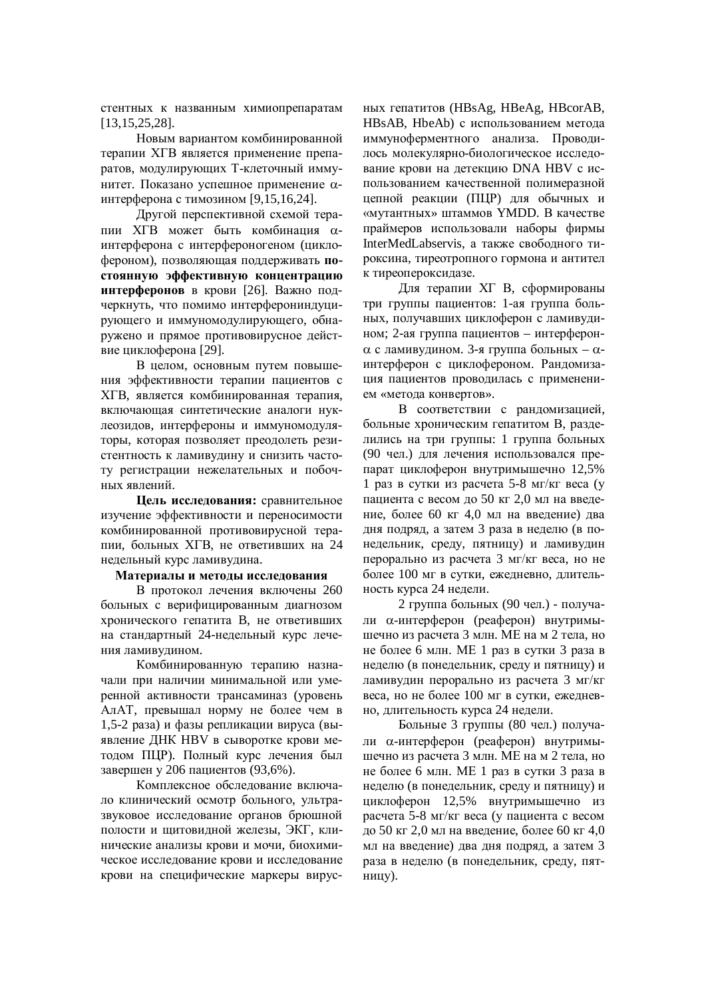стентных к названным химиопрепаратам [13,15,25,28].

Новым вариантом комбинированной терапии ХГВ является применение препаратов, модулирующих Т-клеточный иммунитет. Показано успешное применение αинтерферона с тимозином [9,15,16,24].

Другой перспективной схемой терапии XГВ может быть комбинация αинтерферона с интерфероногеном (циклофероном), позволяющая поддерживать **по**стоянную эффективную концентрацию интерферонов в крови [26]. Важно подчеркнуть, что помимо интерферониндуцирующего и иммуномодулирующего, обнаружено и прямое противовирусное действие циклоферона [29].

В целом, основным путем повышения эффективности терапии пациентов с XГВ, является комбинированная терапия, включающая синтетические аналоги нуклеозидов, интерфероны и иммуномодуляторы, которая позволяет преодолеть резистентность к ламивудину и снизить частоту регистрации нежелательных и побочных явлений.

**Цель исследования:** сравнительное изучение эффективности и переносимости комбинированной противовирусной терапии, больных ХГВ, не ответивших на 24 недельный курс ламивудина.

### Материалы и методы исследования

В протокол лечения включены 260 больных с верифицированным диагнозом хронического гепатита В, не ответивших на стандартный 24-нелельный курс лечения ламивудином.

Комбинированную терапию назначали при наличии минимальной или умеренной активности трансаминаз (уровень АлАТ, превышал норму не более чем в 1,5-2 раза) и фазы репликации вируса (выявление ДНК НВV в сыворотке крови методом ПЦР). Полный курс лечения был завершен у 206 пациентов (93,6%).

Комплексное обследование включало клинический осмотр больного, ультразвуковое исследование органов брюшной полости и щитовидной железы, ЭКГ, клинические анализы крови и мочи, биохимическое исследование крови и исследование крови на специфические маркеры вирусɧɵɯɝɟɩɚɬɢɬɨɜ (HBsAg, HBeAg, HBcorAB, HBsAB, HbeAb) с использованием метода иммуноферментного анализа. Проводилось молекулярно-биологическое исследование крови на детекцию DNA HBV с использованием качественной полимеразной цепной реакции (ПЦР) для обычных и «мутантных» штаммов YMDD. В качестве праймеров использовали наборы фирмы InterMedLabservis, а также свободного тироксина, тиреотропного гормона и антител к тиреопероксидазе.

Для терапии XГ В, сформированы три группы пациентов: 1-ая группа больных, получавших циклоферон с ламивудином; 2-ая группа пациентов – интерферон- $\alpha$  с ламивудином. 3-я группа больных –  $\alpha$ интерферон с циклофероном. Рандомизация пациентов проводилась с применением «метода конвертов».

В соответствии с рандомизацией, больные хроническим гепатитом В, разделились на три группы: 1 группа больных (90 чел.) для лечения использовался препарат циклоферон внутримышечно 12,5% 1 раз в сутки из расчета 5-8 мг/кг веса (у пациента с весом до 50 кг 2,0 мл на введение, более 60 кг 4,0 мл на ввеление) лва дня подряд, а затем 3 раза в неделю (в понедельник, среду, пятницу) и ламивудин перорально из расчета 3 мг/кг веса, но не более 100 мг в сутки, ежедневно, длительность курса 24 недели.

 $2$  группа больных (90 чел.) - получали α-интерферон (реаферон) внутримышечно из расчета 3 млн. МЕ на м 2 тела, но не более 6 млн. МЕ 1 раз в сутки 3 раза в неделю (в понедельник, среду и пятницу) и ламивудин перорально из расчета 3 мг/кг веса, но не более  $100$  мг в сутки, ежелневно, длительность курса 24 недели.

Больные 3 группы (80 чел.) получали α-интерферон (реаферон) внутримышечно из расчета 3 млн. МЕ на м 2 тела, но не более 6 млн. МЕ 1 раз в сутки 3 раза в неделю (в понедельник, среду и пятницу) и циклоферон 12,5% внутримышечно из расчета 5-8 мг/кг веса (у пациента с весом до 50 кг 2,0 мл на введение, более 60 кг 4,0 мл на введение) два дня подряд, а затем 3 раза в неделю (в понедельник, среду, пятницу).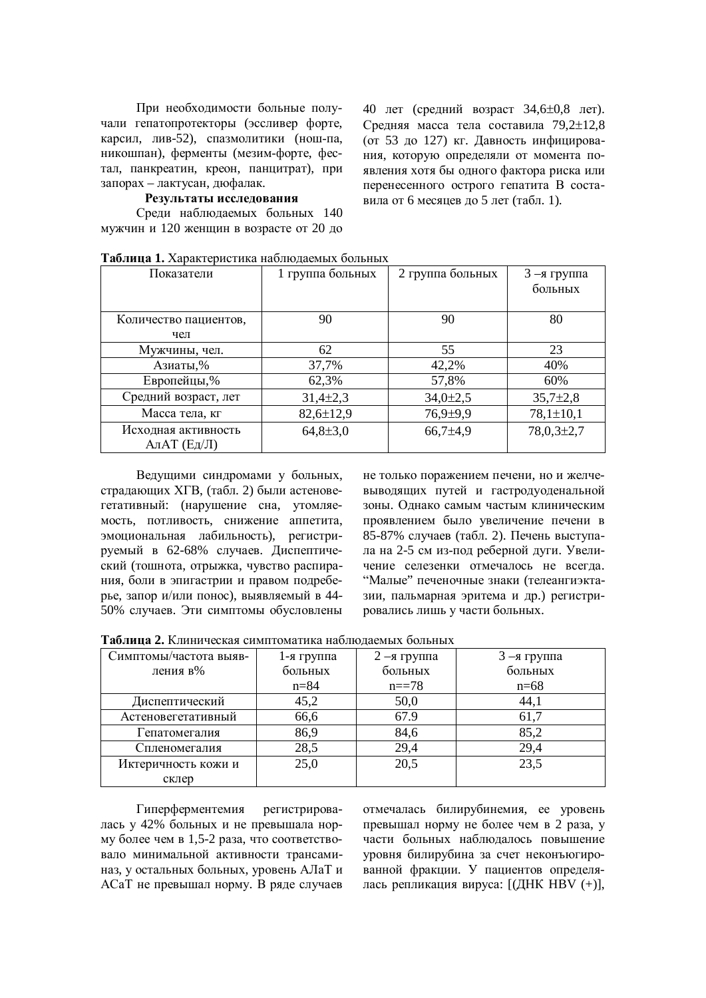При необходимости больные получали гепатопротекторы (эссливер форте, карсил, лив-52), спазмолитики (нош-па, никошпан), ферменты (мезим-форте, фестал, панкреатин, креон, панцитрат), при запорах – лактусан, дюфалак.

#### Результаты исследования

Среди наблюдаемых больных 140 мужчин и 120 женщин в возрасте от 20 до 40 лет (средний возраст 34,6±0,8 лет). Средняя масса тела составила  $79.2 \pm 12.8$ (от 53 до 127) кг. Давность инфицирования, которую определяли от момента появления хотя бы одного фактора риска или перенесенного острого гепатита В составила от 6 месяцев до 5 лет (табл. 1).

| Показатели                              | 1 группа больных | 2 группа больных | $3 - a$ группа<br>больных |
|-----------------------------------------|------------------|------------------|---------------------------|
| Количество пациентов,<br>чел            | 90               | 90               | 80                        |
| Мужчины, чел.                           | 62               | 55               | 23                        |
| Азиаты,%                                | 37,7%            | 42,2%            | 40%                       |
| Европейцы,%                             | 62,3%            | 57,8%            | 60%                       |
| Средний возраст, лет                    | $31,4\pm 2,3$    | $34,0{\pm}2,5$   | $35,7{\pm}2,8$            |
| Масса тела, кг                          | $82,6 \pm 12,9$  | $76,9{\pm}9,9$   | $78,1 \pm 10,1$           |
| Исходная активность<br>$A\pi AT$ (Ед/Л) | $64,8{\pm}3,0$   | $66,7{\pm}4,9$   | $78,0,3{\pm}2,7$          |

**Таблина 1. Характеристика наблюлаемых больных** 

Ведущими синдромами у больных, страдающих ХГВ, (табл. 2) были астеновегетативный: (нарушение сна, утомляемость, потливость, снижение аппетита, эмоциональная лабильность), регистрируемый в 62-68% случаев. Диспептический (тошнота, отрыжка, чувство распирания, боли в эпигастрии и правом подреберье, запор и/или понос), выявляемый в 44-50% случаев. Эти симптомы обусловлены не только поражением печени, но и желчевыводящих путей и гастродуоденальной зоны. Однако самым частым клиническим проявлением было увеличение печени в 85-87% случаев (табл. 2). Печень выступала на 2-5 см из-под реберной дуги. Увеличение селезенки отмечалось не всегла. "Малые" печеночные знаки (телеангиэктазии, пальмарная эритема и др.) регистрировались лишь у части больных.

Таблица 2. Клиническая симптоматика наблюдаемых больных

| Симптомы/частота выяв- | 1-я группа | $2 - a$ группа | $3 - a$ группа |
|------------------------|------------|----------------|----------------|
| ления в%               | больных    | больных        | больных        |
|                        | $n = 84$   | $n == 78$      | $n=68$         |
| Диспептический         | 45,2       | 50,0           | 44,1           |
| Астеновегетативный     | 66,6       | 67.9           | 61,7           |
| Гепатомегалия          | 86,9       | 84,6           | 85,2           |
| Спленомегалия          | 28,5       | 29,4           | 29,4           |
| Иктеричность кожи и    | 25,0       | 20,5           | 23,5           |
| склер                  |            |                |                |

Гиперферментемия регистрировалась у 42% больных и не превышала норму более чем в 1,5-2 раза, что соответствовало минимальной активности трансаминаз, у остальных больных, уровень АЛаТ и АСаТ не превышал норму. В ряде случаев отмечалась билирубинемия, ее уровень превышал норму не более чем в 2 раза, у части больных наблюдалось повышение уровня билирубина за счет неконъюгированной фракции. У пациентов определялась репликация вируса:  $[(\text{JHK HBV } (+)],$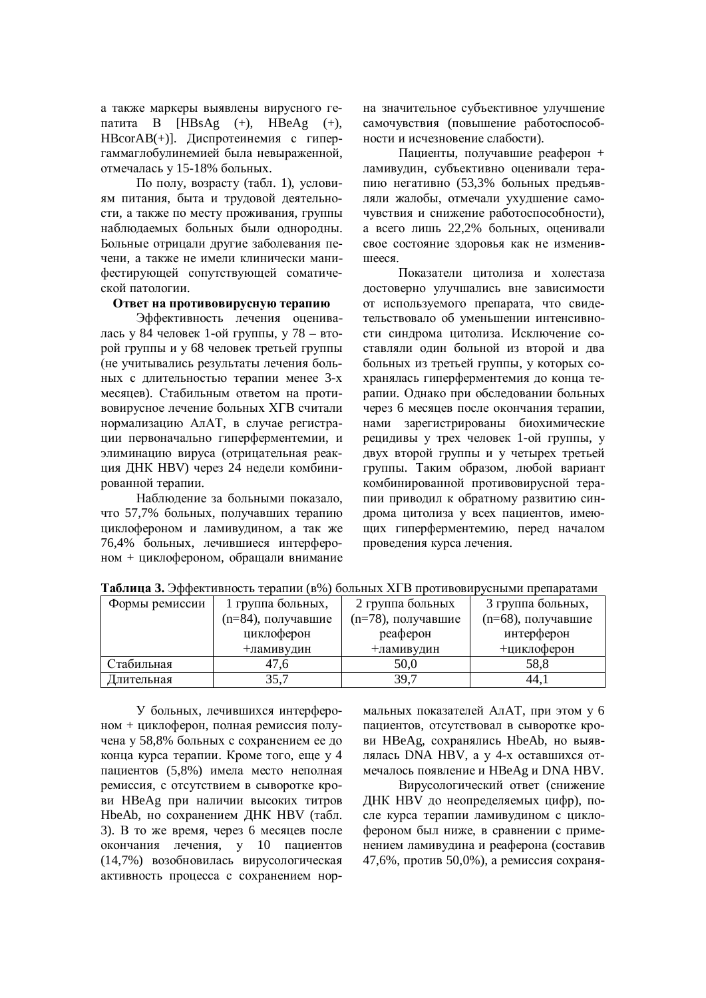а также маркеры выявлены вирусного гепатита В  $[HBsAg (+)$ ,  $HBeAg (+)$ ,  $HBCorAB(+)$ ]. Лиспротеинемия с гипергаммаглобулинемией была невыраженной, отмечалась у 15-18% больных.

По полу, возрасту (табл. 1), условиям питания, быта и трудовой деятельности, а также по месту проживания, группы наблюдаемых больных были однородны. Больные отрицали другие заболевания печени, а также не имели клинически манифестирующей сопутствующей соматической патологии.

# **Ответ на противовирусную терапию**

Эффективность лечения оценивалась у 84 человек 1-ой группы, у 78 – второй группы и у 68 человек третьей группы (не учитывались результаты лечения больных с длительностью терапии менее 3-х месяцев). Стабильным ответом на противовирусное лечение больных XГВ считали нормализацию АлАТ, в случае регистрации первоначально гиперферментемии, и элиминацию вируса (отрицательная реакция ДНК HBV) через 24 недели комбинированной терапии.

Наблюдение за больными показало, что 57,7% больных, получавших терапию циклофероном и ламивудином, а так же 76,4% больных, лечившиеся интерфероном + циклофероном, обращали внимание на значительное субъективное улучшение самочувствия (повышение работоспособности и исчезновение слабости).

Пациенты, получавшие реаферон + ламивудин, субъективно оценивали терапию негативно (53,3% больных предъявляли жалобы, отмечали ухудшение самочувствия и снижение работоспособности), а всего лишь 22,2% больных, оценивали свое состояние здоровья как не изменившееся.

Показатели шитолиза и холестаза достоверно улучшались вне зависимости от используемого препарата, что свидетельствовало об уменьшении интенсивности синдрома цитолиза. Исключение составляли один больной из второй и два больных из третьей группы, у которых сохранялась гиперферментемия до конца терапии. Однако при обследовании больных через 6 месяцев после окончания терапии, нами зарегистрированы биохимические рецидивы у трех человек 1-ой группы, у двух второй группы и у четырех третьей группы. Таким образом, любой вариант комбинированной противовирусной терапии приводил к обратному развитию синдрома цитолиза у всех пациентов, имеющих гиперферментемию, перед началом проведения курса лечения.

| Формы ремиссии | 1 группа больных,  | 2 группа больных   | 3 группа больных,  |
|----------------|--------------------|--------------------|--------------------|
|                | (n=84), получавшие | (n=78), получавшие | (n=68), получавшие |
|                | циклоферон         | реаферон           | интерферон         |
|                | +ламивудин         | +ламивудин         | +циклоферон        |
| Стабильная     | 47.6               | 50,0               | 58,8               |
| Длительная     | 35,7               | 39,7               | 44,1               |

**Таблица 3.** Эффективность терапии (в%) больных ХГВ противовирусными препаратами

У больных, лечившихся интерфероном + циклоферон, полная ремиссия получена у 58,8% больных с сохранением ее до конца курса терапии. Кроме того, еще у 4 пациентов (5,8%) имела место неполная ремиссия, с отсутствием в сыворотке кро**ви НВеАg при наличии высоких титров** HbeAb, но сохранением ЛНК НВV (табл. 3). В то же время, через 6 месяцев после окончания лечения, у 10 пациентов (14,7%) возобновилась вирусологическая активность процесса с сохранением нормальных показателей АлАТ, при этом у 6 пациентов, отсутствовал в сыворотке крови НВеАg, сохранялись HbeAb, но выявлялась DNA HBV, а у 4-х оставшихся отмечалось появление и HBeAg и DNA HBV.

Вирусологический ответ (снижение ДНК НВV до неопределяемых цифр), после курса терапии ламивулином с циклофероном был ниже, в сравнении с применением ламивудина и реаферона (составив 47,6%, против 50,0%), а ремиссия сохраня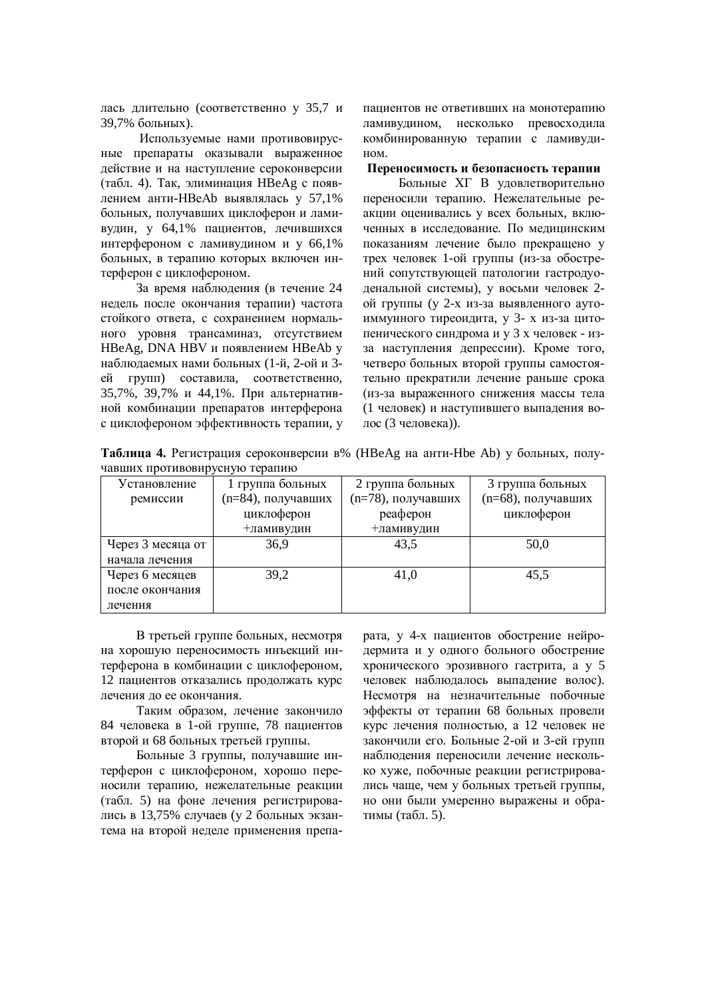дась длительно (соответственно у 35,7 и 39,7% больных).

Используемые нами противовирусные препараты оказывали выраженное действие и на наступление сероконверсии (табл. 4). Так, элиминация НВеАg с появлением анти-HBeAb выявлялась у 57,1% больных, получавших циклоферон и ламивудин, у 64,1% пациентов, лечившихся интерфероном с ламивудином и у 66,1% больных, в терапию которых включен интерферон с циклофероном.

За время наблюдения (в течение 24 недель после окончания терапии) частота стойкого ответа, с сохранением нормального уровня трансаминаз, отсутствием HBeAg, DNA HBV и появлением HBeAb у наблюдаемых нами больных (1-й, 2-ой и 3ей групп) составила, соответственно, 35,7%, 39,7% и 44,1%. При альтернативной комбинации препаратов интерферона с циклофероном эффективность терапии, у пациентов не ответивших на монотерапию ламивудином, несколько превосходила комбинированную терапии с ламивулином

Переносимость и безопасность терапии

Больные XГ В удовлетворительно переносили терапию. Нежелательные реакции оценивались у всех больных, включенных в исследование. По медицинским показаниям лечение было прекращено у трех человек 1-ой группы (из-за обострений сопутствующей патологии гастродуоденальной системы), у восьми человек 2ой группы (у 2-х из-за выявленного аутоиммунного тиреоидита, у 3- х из-за цитопенического синдрома и у 3 х человек - изза наступления депрессии). Кроме того, четверо больных второй группы самостоятельно прекратили лечение раньше срока (из-за выраженного снижения массы тела (1 человек) и наступившего выпадения волос (3 человека)).

Таблица 4. Регистрация сероконверсии в% (HBeAg на анти-Hbe Ab) у больных, получавших противовирусную терапию

| Установление      | 1 группа больных   | 2 группа больных   | 3 группа больных   |
|-------------------|--------------------|--------------------|--------------------|
| ремиссии          | (n=84), получавших | (n=78), получавших | (n=68), получавших |
|                   | циклоферон         | реаферон           | циклоферон         |
|                   | +ламивудин         | +ламивудин         |                    |
| Через 3 месяца от | 36,9               | 43,5               | 50,0               |
| начала лечения    |                    |                    |                    |
| Через 6 месяцев   | 39,2               | 41,0               | 45,5               |
| после окончания   |                    |                    |                    |
| лечения           |                    |                    |                    |

В третьей группе больных, несмотря на хорошую переносимость инъекций интерферона в комбинации с циклофероном, 12 пациентов отказались продолжать курс лечения ло ее окончания.

Таким образом, лечение закончило 84 человека в 1-ой группе, 78 пациентов второй и 68 больных третьей группы.

Больные 3 группы, получавшие интерферон с циклофероном, хорошо переносили терапию, нежелательные реакции (табл. 5) на фоне лечения регистрировались в 13,75% случаев (у 2 больных экзантема на второй неделе применения препарата, у 4-х пациентов обострение нейродермита и у одного больного обострение хронического эрозивного гастрита, а у 5 человек наблюдалось выпадение волос). Несмотря на незначительные побочные эффекты от терапии 68 больных провели курс лечения полностью, а 12 человек не закончили его. Больные 2-ой и 3-ей групп наблюдения переносили лечение несколько хуже, побочные реакции регистрировались чаше, чем у больных третьей группы, но они были умеренно выражены и обратимы (табл. 5).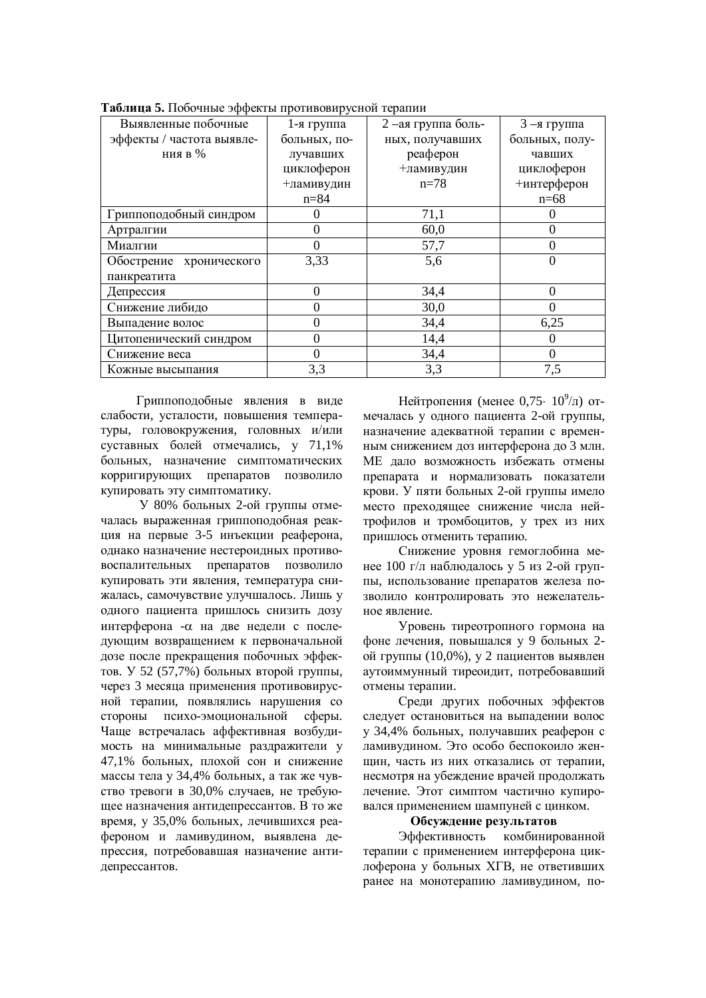| Выявленные побочные       | 1-я группа   | 2 -ая группа боль- | $3 - a$ группа |
|---------------------------|--------------|--------------------|----------------|
| эффекты / частота выявле- | больных, по- | ных, получавших    | больных, полу- |
| ния в %                   | лучавших     | реаферон           | чавших         |
|                           | циклоферон   | +ламивудин         | циклоферон     |
|                           | +ламивудин   | $n=78$             | +интерферон    |
|                           | $n = 84$     |                    | $n=68$         |
| Гриппоподобный синдром    |              | 71,1               |                |
| Артралгии                 | 0            | 60,0               | $\Omega$       |
| Миалгии                   | 0            | 57,7               |                |
| Обострение хронического   | 3,33         | 5,6                |                |
| панкреатита               |              |                    |                |
| Депрессия                 | 0            | 34,4               | 0              |
| Снижение либидо           | 0            | 30,0               |                |
| Выпадение волос           | 0            | 34,4               | 6,25           |
| Цитопенический синдром    | 0            | 14,4               | $\theta$       |
| Снижение веса             | O            | 34,4               |                |
| Кожные высыпания          | 3,3          | 3,3                | 7,5            |

Таблица 5. Побочные эффекты противовирусной терапии

Гриппоподобные явления в виде слабости, усталости, повышения температуры, головокружения, головных и/или суставных болей отмечались, у 71,1% больных, назначение симптоматических корригирующих препаратов позволило купировать эту симптоматику.

У 80% больных 2-ой группы отмечалась выраженная гриппоподобная реакция на первые 3-5 инъекции реаферона, однако назначение нестероидных противовоспалительных препаратов позволило купировать эти явления, температура снижалась, самочувствие улучшалось. Лишь у одного пациента пришлось снизить дозу интерферона - α на две недели с последующим возвращением к первоначальной дозе после прекращения побочных эффектов. У 52 (57,7%) больных второй группы, через 3 месяца применения противовирусной терапии, появлялись нарушения со стороны психо-эмоциональной сферы. Чаще встречалась аффективная возбудимость на минимальные раздражители у 47,1% больных, плохой сон и снижение массы тела у 34,4% больных, а так же чувство тревоги в 30,0% случаев, не требующее назначения антидепрессантов. В то же время, у 35,0% больных, лечившихся реафероном и ламивудином, выявлена депрессия, потребовавшая назначение антидепрессантов.

Нейтропения (менее 0,75  $10^9$ /л) отмечалась у одного пациента 2-ой группы, назначение адекватной терапии с временным снижением доз интерферона до 3 млн. МЕ дало возможность избежать отмены препарата и нормализовать показатели крови. У пяти больных 2-ой группы имело место преходящее снижение числа нейтрофилов и тромбоцитов, у трех из них пришлось отменить терапию.

Снижение уровня гемоглобина менее 100 г/л наблюдалось у 5 из 2-ой группы, использование препаратов железа позволило контролировать это нежелательное явление.

Уровень тиреотропного гормона на фоне лечения, повышался у 9 больных 2ой группы (10,0%), у 2 пациентов выявлен аутоиммунный тиреоидит, потребовавший отмены терапии.

Среди других побочных эффектов следует остановиться на выпадении волос у 34,4% больных, получавших реаферон с ламивудином. Это особо беспокоило женщин, часть из них отказались от терапии, несмотря на убеждение врачей продолжать лечение. Этот симптом частично купировался применением шампуней с цинком.

### Обсуждение результатов

Эффективность комбинированной терапии с применением интерферона циклоферона у больных XГВ, не ответивших ранее на монотерапию ламивудином, по-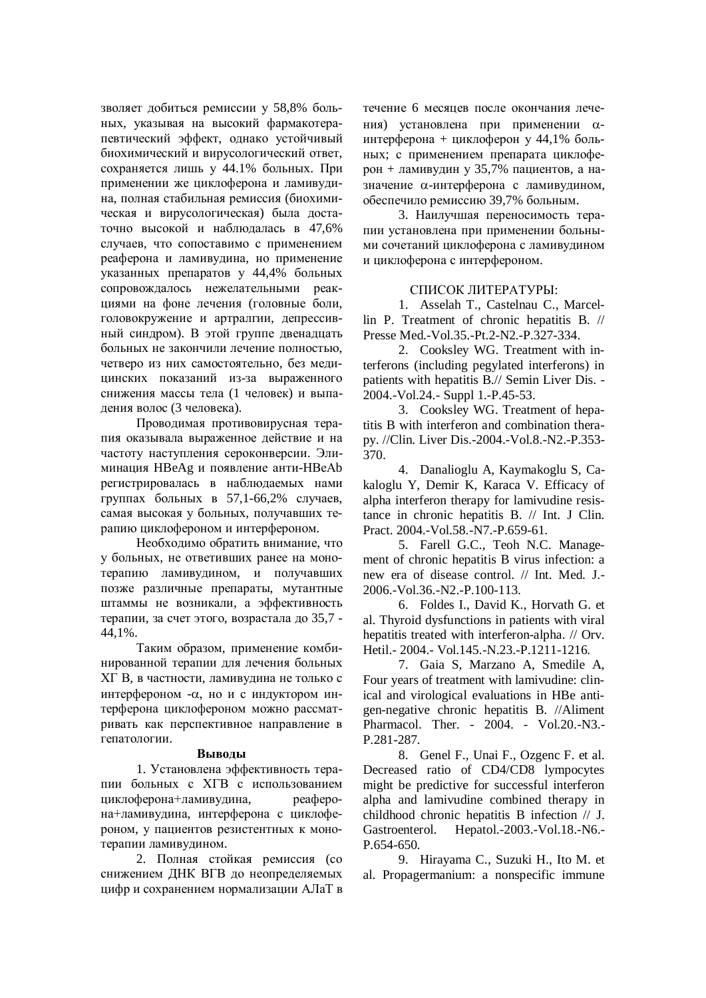зволяет добиться ремиссии у 58,8% больных, указывая на высокий фармакотерапевтический эффект, однако устойчивый биохимический и вирусологический ответ, сохраняется лишь у 44.1% больных. При применении же циклоферона и ламивудина, полная стабильная ремиссия (биохимическая и вирусологическая) была достаточно высокой и наблюдалась в 47,6% случаев, что сопоставимо с применением реаферона и ламивудина, но применение указанных препаратов у 44,4% больных сопровождалось нежелательными реакциями на фоне лечения (головные боли, головокружение и артралгии, депрессивный синдром). В этой группе двенадцать больных не закончили лечение полностью. четверо из них самостоятельно. без мелицинских показаний из-за выраженного снижения массы тела (1 человек) и выпадения волос (3 человека).

Проводимая противовирусная терапия оказывала выраженное действие и на частоту наступления сероконверсии. Элиминация НВеАg и появление анти-НВеАЬ регистрировалась в наблюдаемых нами группах больных в 57,1-66,2% случаев, самая высокая у больных, получавших терапию циклофероном и интерфероном.

Необходимо обратить внимание, что у больных, не ответивших ранее на монотерапию ламивудином, и получавших позже различные препараты, мутантные штаммы не возникали, а эффективность терапии, за счет этого, возрастала до 35,7 -44,1%.

Таким образом, применение комбинированной терапии для лечения больных XГ В, в частности, ламивудина не только с интерфероном -α, но и с индуктором интерферона циклофероном можно рассматривать как перспективное направление в гепатологии.

### **Выволы**

1. Установлена эффективность терапии больных с ХГВ с использованием циклоферона+ламивудина, реаферона+ламивудина, интерферона с циклофероном, у пациентов резистентных к монотерапии ламивудином.

2. Полная стойкая ремиссия (со снижением ДНК ВГВ до неопределяемых цифр и сохранением нормализации АЛаТ в течение 6 месяцев после окончания лечения) установлена при применении αинтерферона + циклоферон у 44,1% больных; с применением препарата циклоферон + ламивудин у 35,7% пациентов, а назначение α-интерферона с ламивудином, обеспечило ремиссию 39,7% больным.

3. Наилучшая переносимость терапии установлена при применении больными сочетаний циклоферона с ламивудином и циклоферона с интерфероном.

# СПИСОК ЛИТЕРАТУРЫ:

1. Asselah T., Castelnau C., Marcellin P. Treatment of chronic hepatitis B. // Presse Med.-Vol.35.-Pt.2-N2.-P.327-334.

2. Cooksley WG. Treatment with interferons (including pegylated interferons) in patients with hepatitis B.// Semin Liver Dis. - 2004.-Vol.24.- Suppl 1.-P.45-53.

3. Cooksley WG. Treatment of hepatitis B with interferon and combination therapy. //Clin. Liver Dis.-2004.-Vol.8.-N2.-P.353- 370.

4. Danalioglu A, Kaymakoglu S, Cakaloglu Y, Demir K, Karaca V. Efficacy of alpha interferon therapy for lamivudine resistance in chronic hepatitis B. // Int. J Clin. Pract. 2004.-Vol.58.-N7.-P.659-61.

5. Farell G.C., Teoh N.C. Management of chronic hepatitis B virus infection: a new era of disease control. // Int. Med. J.- 2006.-Vol.36.-N2.-P.100-113.

6. Foldes I., David K., Horvath G. et al. Thyroid dysfunctions in patients with viral hepatitis treated with interferon-alpha. // Orv. Hetil.- 2004.- Vol.145.-N.23.-P.1211-1216.

7. Gaia S, Marzano A, Smedile A, Four years of treatment with lamivudine: clinical and virological evaluations in HBe antigen-negative chronic hepatitis B. //Aliment Pharmacol. Ther. - 2004. - Vol.20.-N3.- P.281-287.

8. Genel F., Unai F., Ozgenc F. et al. Decreased ratio of CD4/CD8 lympocytes might be predictive for successful interferon alpha and lamivudine combined therapy in childhood chronic hepatitis B infection // J. Gastroenterol. Hepatol.-2003.-Vol.18.-N6.- P.654-650.

9. Hirayama C., Suzuki H., Ito M. et al. Propagermanium: a nonspecific immune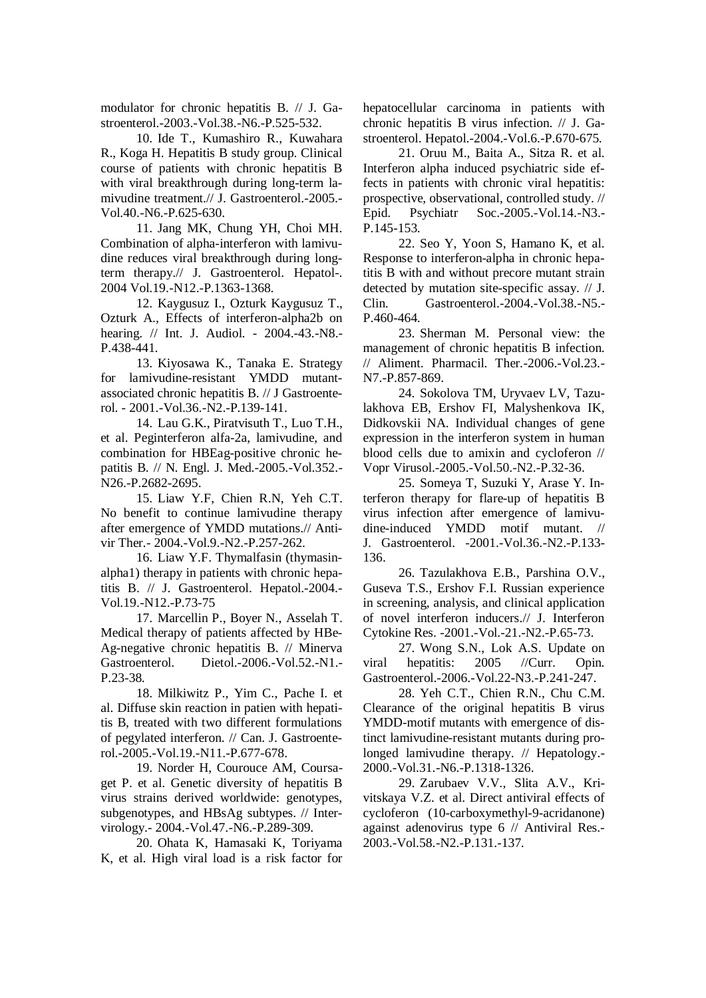modulator for chronic hepatitis B. // J. Gastroenterol.-2003.-Vol.38.-N6.-P.525-532.

10. Ide T., Kumashiro R., Kuwahara R., Koga H. Hepatitis B study group. Clinical course of patients with chronic hepatitis B with viral breakthrough during long-term lamivudine treatment.// J. Gastroenterol.-2005.- Vol.40.-N6.-P.625-630.

11. Jang MK, Chung YH, Choi MH. Combination of alpha-interferon with lamivudine reduces viral breakthrough during longterm therapy.// J. Gastroenterol. Hepatol-. 2004 Vol.19.-N12.-P.1363-1368.

12. Kaygusuz I., Ozturk Kaygusuz T., Ozturk A., Effects of interferon-alpha2b on hearing. // Int. J. Audiol. - 2004.-43.-N8.- P.438-441.

13. Kiyosawa K., Tanaka E. Strategy for lamivudine-resistant YMDD mutantassociated chronic hepatitis B. // J Gastroenterol. - 2001.-Vol.36.-N2.-P.139-141.

14. Lau G.K., Piratvisuth T., Luo T.H., et al. Peginterferon alfa-2a, lamivudine, and combination for HBEag-positive chronic hepatitis B. // N. Engl. J. Med.-2005.-Vol.352.- N26.-P.2682-2695.

15. Liaw Y.F, Chien R.N, Yeh C.T. No benefit to continue lamivudine therapy after emergence of YMDD mutations.// Antivir Ther.- 2004.-Vol.9.-N2.-P.257-262.

16. Liaw Y.F. Thymalfasin (thymasinalpha1) therapy in patients with chronic hepatitis B. // J. Gastroenterol. Hepatol.-2004.- Vol.19.-N12.-P.73-75

17. Marcellin P., Boyer N., Asselah T. Medical therapy of patients affected by HBe-Ag-negative chronic hepatitis B. // Minerva Gastroenterol. Dietol.-2006.-Vol.52.-N1.- P.23-38.

18. Milkiwitz P., Yim C., Pache I. et al. Diffuse skin reaction in patien with hepatitis B, treated with two different formulations of pegylated interferon. // Can. J. Gastroenterol.-2005.-Vol.19.-N11.-P.677-678.

19. Norder H, Courouce AM, Coursaget P. et al. Genetic diversity of hepatitis B virus strains derived worldwide: genotypes, subgenotypes, and HBsAg subtypes. // Intervirology.- 2004.-Vol.47.-N6.-P.289-309.

20. Ohata K, Hamasaki K, Toriyama K, et al. High viral load is a risk factor for hepatocellular carcinoma in patients with chronic hepatitis B virus infection. // J. Gastroenterol. Hepatol.-2004.-Vol.6.-P.670-675.

21. Oruu M., Baita A., Sitza R. et al. Interferon alpha induced psychiatric side effects in patients with chronic viral hepatitis: prospective, observational, controlled study. // Epid. Psychiatr Soc.-2005.-Vol.14.-N3.- P.145-153.

22. Seo Y, Yoon S, Hamano K, et al. Response to interferon-alpha in chronic hepatitis B with and without precore mutant strain detected by mutation site-specific assay. // J. Clin. Gastroenterol.-2004.-Vol.38.-N5.- P.460-464.

23. Sherman M. Personal view: the management of chronic hepatitis B infection. // Aliment. Pharmacil. Ther.-2006.-Vol.23.- N7.-P.857-869.

24. Sokolova TM, Uryvaev LV, Tazulakhova EB, Ershov FI, Malyshenkova IK, Didkovskii NA. Individual changes of gene expression in the interferon system in human blood cells due to amixin and cycloferon // Vopr Virusol.-2005.-Vol.50.-N2.-P.32-36.

25. Someya T, Suzuki Y, Arase Y. Interferon therapy for flare-up of hepatitis B virus infection after emergence of lamivudine-induced YMDD motif mutant. // J. Gastroenterol. -2001.-Vol.36.-N2.-P.133- 136.

26. Tazulakhova E.B., Parshina O.V., Guseva T.S., Ershov F.I. Russian experience in screening, analysis, and clinical application of novel interferon inducers.// J. Interferon Cytokine Res. -2001.-Vol.-21.-N2.-P.65-73.

27. Wong S.N., Lok A.S. Update on viral hepatitis: 2005 //Curr. Opin. Gastroenterol.-2006.-Vol.22-N3.-P.241-247.

28. Yeh C.T., Chien R.N., Chu C.M. Clearance of the original hepatitis B virus YMDD-motif mutants with emergence of distinct lamivudine-resistant mutants during prolonged lamivudine therapy. // Hepatology.- 2000.-Vol.31.-N6.-P.1318-1326.

29. Zarubaev V.V., Slita A.V., Krivitskaya V.Z. et al. Direct antiviral effects of cycloferon (10-carboxymethyl-9-acridanone) against adenovirus type 6 // Antiviral Res.- 2003.-Vol.58.-N2.-P.131.-137.